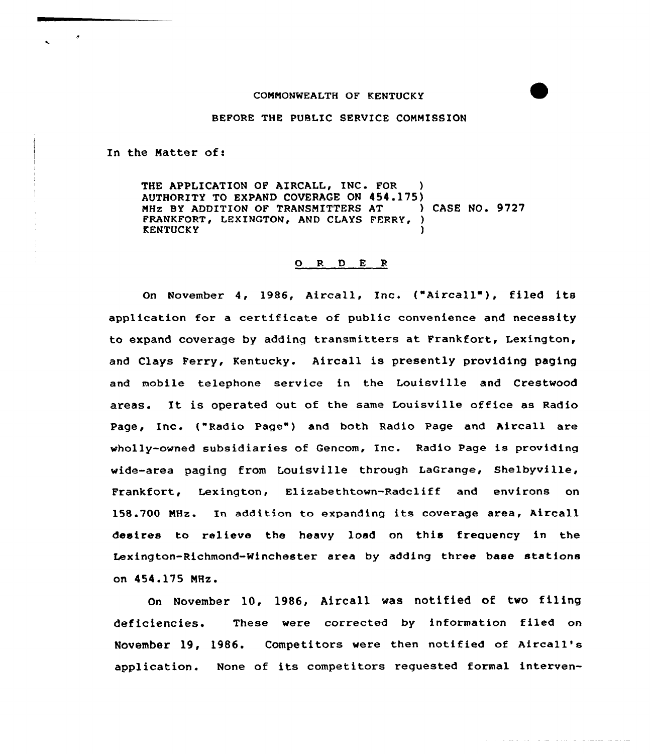## COMMONWEALTH OF KENTUCKY

## BEFORE THE PUBLIC SERVICE COMMISSION

In the Matter of:

- 8

THE APPLICATION OF AIRCALL, INC. FOR AUTHORITY TO EXPAND COVERAGE ON 454.175)<br>MHz BY ADDITION OF TRANSMITTERS AT (ASE NO. 9727) MHZ BY ADDITION OF TRANSMITTERS AT FRANKFORT, LEXINGTON, AND CLAYS FERRY, ) **KENTUCKY** 

## 0 <sup>R</sup> <sup>D</sup> E <sup>R</sup>

On November 4, 1986, Aircall, Inc. ("Aircall"), filed its application for a certificate of public convenience and necessity to expand coverage by adding transmitters at Frankfort, Lexington, and Clays Ferry, Kentucky. Aircall is presently providing paging and mobile telephone service in the Louisville and Crestwood areas. It is operated out of the same Louisville office as Radio Page, Inc. ("Radio Page") and both Radio Page and Aircall are wholly-owned subsidiaries of Gencom, Inc. Radio Page is providing wide-area paging from Louisville through LaGrange, Shelbyville, Frankfort, Lexington, Elizabethtown-Radcliff and environs on 158.700 MHz. In addition to expanding its coverage area, Aircall desires to relieve the heavy load on this frequency in the Lexington-Richmond-Winchester area by adding three base statfons on 454.175 MHz.

On November 10, 1986, Aircall was notified of two filing deficiencies. These were corrected by information filed on November 19, 1986. Competitors were then notified of Afrcall's application. None of its competitors reguested formal interven-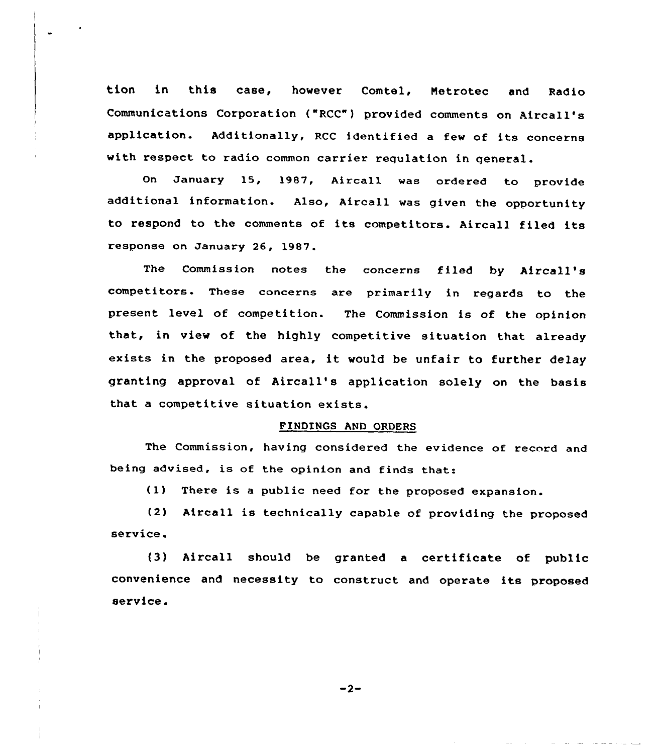tion in this case, however Comtel, Netrotec and Radio Communications Corporation ("RCC") provided comments on AircalI's application. Additionally, RCC identified a few of its concerns with respect to radio common carrier requlation in general.

On January 15, 1987, Aireall was ordered to provide additional information. Also, Aircall was given the opportunity to respond to the comments of its competitors. Aircall filed its response on January 26, 1987.

The Commission notes the concerns filed by Aircall's competitors. These concerns are primarily in regards to the present level of competition. The Commission is of the opinion that, in view of the highly competitive situation that already exists in the proposed area, it would be unfair to further delay granting approval of Aircall's application solely on the basis that a competitive situation exists.

## FINDINGS AND ORDERS

The Commission, having considered the evidence of record and being advised, is of the opinion and finds that:

(1) There is <sup>a</sup> public need for the proposed expansion.

(2) Aircall is technically capable of providing the proposed service.

(3) Aircall should be granted <sup>a</sup> certificate of public convenience and necessity to construct and operate its proposed service.

 $-2-$